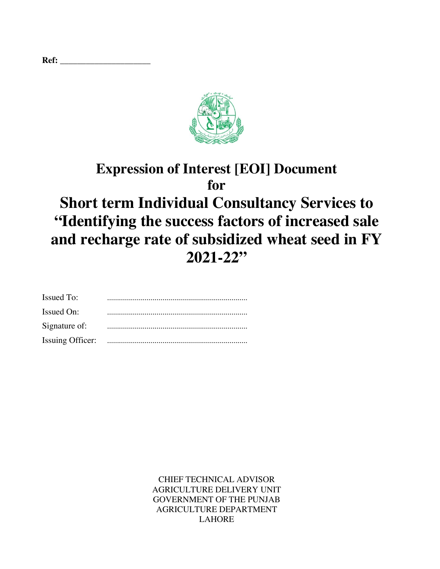|--|



# **Expression of Interest [EOI] Document for Short term Individual Consultancy Services to "Identifying the success factors of increased sale and recharge rate of subsidized wheat seed in FY 2021-22"**

| <b>Issued To:</b> |  |
|-------------------|--|
| Issued On:        |  |
| Signature of:     |  |
|                   |  |

CHIEF TECHNICAL ADVISOR AGRICULTURE DELIVERY UNIT GOVERNMENT OF THE PUNJAB AGRICULTURE DEPARTMENT LAHORE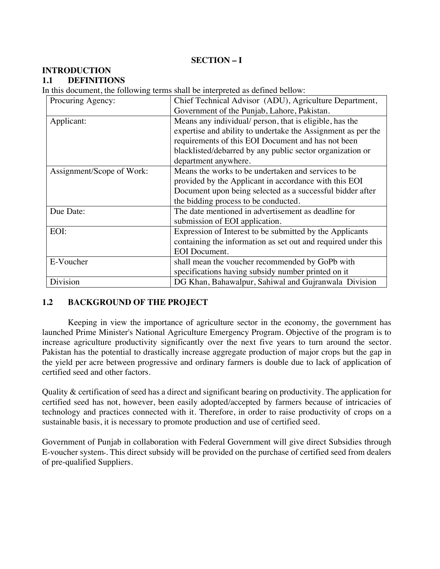# **SECTION – I**

# **INTRODUCTION**

### **1.1 DEFINITIONS**

In this document, the following terms shall be interpreted as defined bellow:

| Procuring Agency:         | Chief Technical Advisor (ADU), Agriculture Department,        |
|---------------------------|---------------------------------------------------------------|
|                           | Government of the Punjab, Lahore, Pakistan.                   |
| Applicant:                | Means any individual/ person, that is eligible, has the       |
|                           | expertise and ability to undertake the Assignment as per the  |
|                           | requirements of this EOI Document and has not been            |
|                           | blacklisted/debarred by any public sector organization or     |
|                           | department anywhere.                                          |
| Assignment/Scope of Work: | Means the works to be undertaken and services to be.          |
|                           | provided by the Applicant in accordance with this EOI         |
|                           | Document upon being selected as a successful bidder after     |
|                           | the bidding process to be conducted.                          |
| Due Date:                 | The date mentioned in advertisement as deadline for           |
|                           | submission of EOI application.                                |
| EOI:                      | Expression of Interest to be submitted by the Applicants      |
|                           | containing the information as set out and required under this |
|                           | <b>EOI</b> Document.                                          |
| E-Voucher                 | shall mean the voucher recommended by GoPb with               |
|                           | specifications having subsidy number printed on it            |
| Division                  | DG Khan, Bahawalpur, Sahiwal and Gujranwala Division          |

### **1.2 BACKGROUND OF THE PROJECT**

Keeping in view the importance of agriculture sector in the economy, the government has launched Prime Minister's National Agriculture Emergency Program. Objective of the program is to increase agriculture productivity significantly over the next five years to turn around the sector. Pakistan has the potential to drastically increase aggregate production of major crops but the gap in the yield per acre between progressive and ordinary farmers is double due to lack of application of certified seed and other factors.

Quality & certification of seed has a direct and significant bearing on productivity. The application for certified seed has not, however, been easily adopted/accepted by farmers because of intricacies of technology and practices connected with it. Therefore, in order to raise productivity of crops on a sustainable basis, it is necessary to promote production and use of certified seed.

Government of Punjab in collaboration with Federal Government will give direct Subsidies through E-voucher system۔. This direct subsidy will be provided on the purchase of certified seed from dealers of pre-qualified Suppliers.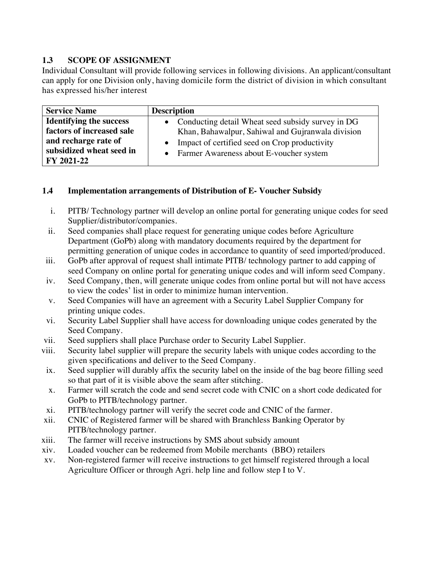# **1.3 SCOPE OF ASSIGNMENT**

Individual Consultant will provide following services in following divisions. An applicant/consultant can apply for one Division only, having domicile form the district of division in which consultant has expressed his/her interest

| <b>Service Name</b>                                                                 | <b>Description</b>                                                                                                                                                     |
|-------------------------------------------------------------------------------------|------------------------------------------------------------------------------------------------------------------------------------------------------------------------|
| <b>Identifying the success</b><br>factors of increased sale<br>and recharge rate of | • Conducting detail Wheat seed subsidy survey in DG<br>Khan, Bahawalpur, Sahiwal and Gujranwala division<br>Impact of certified seed on Crop productivity<br>$\bullet$ |
| subsidized wheat seed in<br>FY 2021-22                                              | • Farmer Awareness about E-voucher system                                                                                                                              |

# **1.4 Implementation arrangements of Distribution of E- Voucher Subsidy**

- i. PITB/ Technology partner will develop an online portal for generating unique codes for seed Supplier/distributor/companies.
- ii. Seed companies shall place request for generating unique codes before Agriculture Department (GoPb) along with mandatory documents required by the department for permitting generation of unique codes in accordance to quantity of seed imported/produced.
- iii. GoPb after approval of request shall intimate PITB/ technology partner to add capping of seed Company on online portal for generating unique codes and will inform seed Company.
- iv. Seed Company, then, will generate unique codes from online portal but will not have access to view the codes' list in order to minimize human intervention.
- v. Seed Companies will have an agreement with a Security Label Supplier Company for printing unique codes.
- vi. Security Label Supplier shall have access for downloading unique codes generated by the Seed Company.
- vii. Seed suppliers shall place Purchase order to Security Label Supplier.
- viii. Security label supplier will prepare the security labels with unique codes according to the given specifications and deliver to the Seed Company.
- ix. Seed supplier will durably affix the security label on the inside of the bag beore filling seed so that part of it is visible above the seam after stitching.
- x. Farmer will scratch the code and send secret code with CNIC on a short code dedicated for GoPb to PITB/technology partner.
- xi. PITB/technology partner will verify the secret code and CNIC of the farmer.
- xii. CNIC of Registered farmer will be shared with Branchless Banking Operator by PITB/technology partner.
- xiii. The farmer will receive instructions by SMS about subsidy amount
- xiv. Loaded voucher can be redeemed from Mobile merchants (BBO) retailers
- xv. Non-registered farmer will receive instructions to get himself registered through a local Agriculture Officer or through Agri. help line and follow step I to V.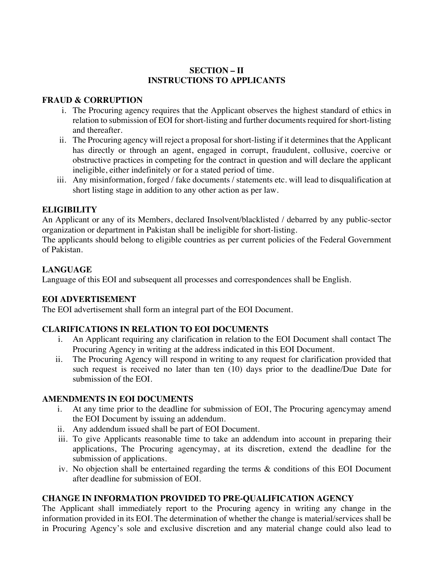# **SECTION – II INSTRUCTIONS TO APPLICANTS**

# **FRAUD & CORRUPTION**

- i. The Procuring agency requires that the Applicant observes the highest standard of ethics in relation to submission of EOI for short-listing and further documents required for short-listing and thereafter.
- ii. The Procuring agency will reject a proposal for short-listing if it determines that the Applicant has directly or through an agent, engaged in corrupt, fraudulent, collusive, coercive or obstructive practices in competing for the contract in question and will declare the applicant ineligible, either indefinitely or for a stated period of time.
- iii. Any misinformation, forged / fake documents / statements etc. will lead to disqualification at short listing stage in addition to any other action as per law.

# **ELIGIBILITY**

An Applicant or any of its Members, declared Insolvent/blacklisted / debarred by any public-sector organization or department in Pakistan shall be ineligible for short-listing.

The applicants should belong to eligible countries as per current policies of the Federal Government of Pakistan.

# **LANGUAGE**

Language of this EOI and subsequent all processes and correspondences shall be English.

# **EOI ADVERTISEMENT**

The EOI advertisement shall form an integral part of the EOI Document.

# **CLARIFICATIONS IN RELATION TO EOI DOCUMENTS**

- i. An Applicant requiring any clarification in relation to the EOI Document shall contact The Procuring Agency in writing at the address indicated in this EOI Document.
- ii. The Procuring Agency will respond in writing to any request for clarification provided that such request is received no later than ten (10) days prior to the deadline/Due Date for submission of the EOI.

# **AMENDMENTS IN EOI DOCUMENTS**

- i. At any time prior to the deadline for submission of EOI, The Procuring agencymay amend the EOI Document by issuing an addendum.
- ii. Any addendum issued shall be part of EOI Document.
- iii. To give Applicants reasonable time to take an addendum into account in preparing their applications, The Procuring agencymay, at its discretion, extend the deadline for the submission of applications.
- iv. No objection shall be entertained regarding the terms & conditions of this EOI Document after deadline for submission of EOI.

# **CHANGE IN INFORMATION PROVIDED TO PRE-QUALIFICATION AGENCY**

The Applicant shall immediately report to the Procuring agency in writing any change in the information provided in its EOI. The determination of whether the change is material/services shall be in Procuring Agency's sole and exclusive discretion and any material change could also lead to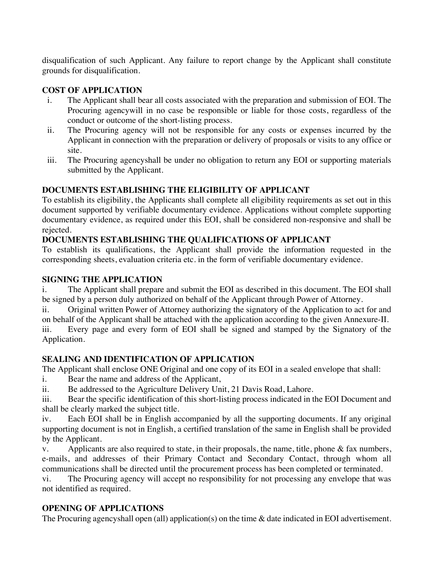disqualification of such Applicant. Any failure to report change by the Applicant shall constitute grounds for disqualification.

# **COST OF APPLICATION**

- i. The Applicant shall bear all costs associated with the preparation and submission of EOI. The Procuring agencywill in no case be responsible or liable for those costs, regardless of the conduct or outcome of the short-listing process.
- ii. The Procuring agency will not be responsible for any costs or expenses incurred by the Applicant in connection with the preparation or delivery of proposals or visits to any office or site.
- iii. The Procuring agencyshall be under no obligation to return any EOI or supporting materials submitted by the Applicant.

# **DOCUMENTS ESTABLISHING THE ELIGIBILITY OF APPLICANT**

To establish its eligibility, the Applicants shall complete all eligibility requirements as set out in this document supported by verifiable documentary evidence. Applications without complete supporting documentary evidence, as required under this EOI, shall be considered non-responsive and shall be rejected.

# **DOCUMENTS ESTABLISHING THE QUALIFICATIONS OF APPLICANT**

To establish its qualifications, the Applicant shall provide the information requested in the corresponding sheets, evaluation criteria etc. in the form of verifiable documentary evidence.

# **SIGNING THE APPLICATION**

i. The Applicant shall prepare and submit the EOI as described in this document. The EOI shall be signed by a person duly authorized on behalf of the Applicant through Power of Attorney.

ii. Original written Power of Attorney authorizing the signatory of the Application to act for and on behalf of the Applicant shall be attached with the application according to the given Annexure-II. iii. Every page and every form of EOI shall be signed and stamped by the Signatory of the Application.

# **SEALING AND IDENTIFICATION OF APPLICATION**

The Applicant shall enclose ONE Original and one copy of its EOI in a sealed envelope that shall:

i. Bear the name and address of the Applicant,

ii. Be addressed to the Agriculture Delivery Unit, 21 Davis Road, Lahore.

iii. Bear the specific identification of this short-listing process indicated in the EOI Document and shall be clearly marked the subject title.

iv. Each EOI shall be in English accompanied by all the supporting documents. If any original supporting document is not in English, a certified translation of the same in English shall be provided by the Applicant.

v. Applicants are also required to state, in their proposals, the name, title, phone & fax numbers, e-mails, and addresses of their Primary Contact and Secondary Contact, through whom all communications shall be directed until the procurement process has been completed or terminated.

vi. The Procuring agency will accept no responsibility for not processing any envelope that was not identified as required.

# **OPENING OF APPLICATIONS**

The Procuring agencyshall open (all) application(s) on the time & date indicated in EOI advertisement.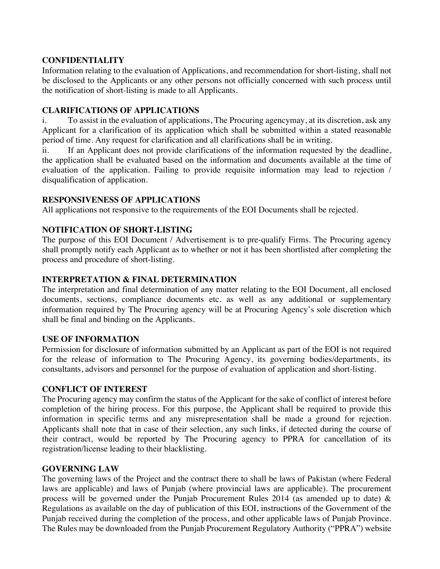# **CONFIDENTIALITY**

Information relating to the evaluation of Applications, and recommendation for short-listing, shall not be disclosed to the Applicants or any other persons not officially concerned with such process until the notification of short-listing is made to all Applicants.

## **CLARIFICATIONS OF APPLICATIONS**

i. To assist in the evaluation of applications, The Procuring agencymay, at its discretion, ask any Applicant for a clarification of its application which shall be submitted within a stated reasonable period of time. Any request for clarification and all clarifications shall be in writing.

ii. If an Applicant does not provide clarifications of the information requested by the deadline, the application shall be evaluated based on the information and documents available at the time of evaluation of the application. Failing to provide requisite information may lead to rejection / disqualification of application.

# **RESPONSIVENESS OF APPLICATIONS**

All applications not responsive to the requirements of the EOI Documents shall be rejected.

# **NOTIFICATION OF SHORT-LISTING**

The purpose of this EOI Document / Advertisement is to pre-qualify Firms. The Procuring agency shall promptly notify each Applicant as to whether or not it has been shortlisted after completing the process and procedure of short-listing.

# **INTERPRETATION & FINAL DETERMINATION**

The interpretation and final determination of any matter relating to the EOI Document, all enclosed documents, sections, compliance documents etc. as well as any additional or supplementary information required by The Procuring agency will be at Procuring Agency's sole discretion which shall be final and binding on the Applicants.

### **USE OF INFORMATION**

Permission for disclosure of information submitted by an Applicant as part of the EOI is not required for the release of information to The Procuring Agency, its governing bodies/departments, its consultants, advisors and personnel for the purpose of evaluation of application and short-listing.

### **CONFLICT OF INTEREST**

The Procuring agency may confirm the status of the Applicant for the sake of conflict of interest before completion of the hiring process. For this purpose, the Applicant shall be required to provide this information in specific terms and any misrepresentation shall be made a ground for rejection. Applicants shall note that in case of their selection, any such links, if detected during the course of their contract, would be reported by The Procuring agency to PPRA for cancellation of its registration/license leading to their blacklisting.

# **GOVERNING LAW**

The governing laws of the Project and the contract there to shall be laws of Pakistan (where Federal laws are applicable) and laws of Punjab (where provincial laws are applicable). The procurement process will be governed under the Punjab Procurement Rules 2014 (as amended up to date) & Regulations as available on the day of publication of this EOI, instructions of the Government of the Punjab received during the completion of the process, and other applicable laws of Punjab Province. The Rules may be downloaded from the Punjab Procurement Regulatory Authority ("PPRA") website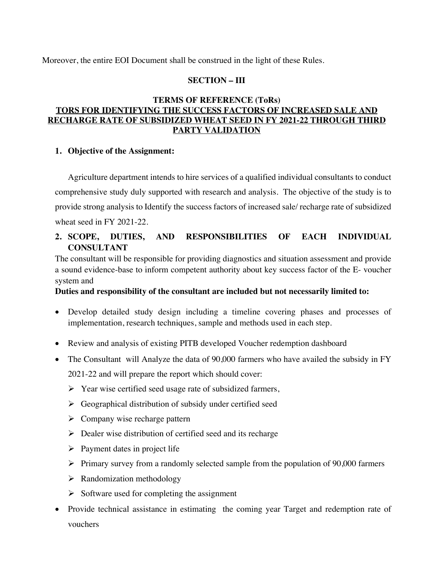Moreover, the entire EOI Document shall be construed in the light of these Rules.

## **SECTION – III**

# **TERMS OF REFERENCE (ToRs) TORS FOR IDENTIFYING THE SUCCESS FACTORS OF INCREASED SALE AND RECHARGE RATE OF SUBSIDIZED WHEAT SEED IN FY 2021-22 THROUGH THIRD PARTY VALIDATION**

### **1. Objective of the Assignment:**

Agriculture department intends to hire services of a qualified individual consultants to conduct comprehensive study duly supported with research and analysis. The objective of the study is to provide strong analysis to Identify the success factors of increased sale/ recharge rate of subsidized wheat seed in FY 2021-22.

# **2. SCOPE, DUTIES, AND RESPONSIBILITIES OF EACH INDIVIDUAL CONSULTANT**

The consultant will be responsible for providing diagnostics and situation assessment and provide a sound evidence-base to inform competent authority about key success factor of the E- voucher system and

### **Duties and responsibility of the consultant are included but not necessarily limited to:**

- Develop detailed study design including a timeline covering phases and processes of implementation, research techniques, sample and methods used in each step.
- Review and analysis of existing PITB developed Voucher redemption dashboard
- The Consultant will Analyze the data of 90,000 farmers who have availed the subsidy in FY 2021-22 and will prepare the report which should cover:
	- $\triangleright$  Year wise certified seed usage rate of subsidized farmers,
	- $\triangleright$  Geographical distribution of subsidy under certified seed
	- $\triangleright$  Company wise recharge pattern
	- $\triangleright$  Dealer wise distribution of certified seed and its recharge
	- $\triangleright$  Payment dates in project life
	- $\triangleright$  Primary survey from a randomly selected sample from the population of 90,000 farmers
	- $\triangleright$  Randomization methodology
	- $\triangleright$  Software used for completing the assignment
- Provide technical assistance in estimating the coming year Target and redemption rate of vouchers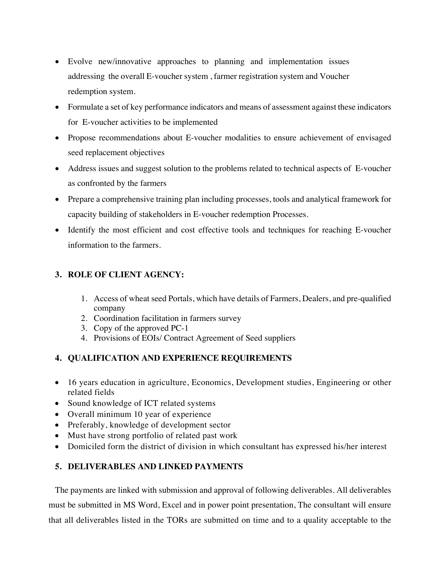- Evolve new/innovative approaches to planning and implementation issues addressing the overall E-voucher system , farmer registration system and Voucher redemption system.
- Formulate a set of key performance indicators and means of assessment against these indicators for E-voucher activities to be implemented
- Propose recommendations about E-voucher modalities to ensure achievement of envisaged seed replacement objectives
- Address issues and suggest solution to the problems related to technical aspects of E-voucher as confronted by the farmers
- Prepare a comprehensive training plan including processes, tools and analytical framework for capacity building of stakeholders in E-voucher redemption Processes.
- Identify the most efficient and cost effective tools and techniques for reaching E-voucher information to the farmers.

# **3. ROLE OF CLIENT AGENCY:**

- 1. Access of wheat seed Portals, which have details of Farmers, Dealers, and pre-qualified company
- 2. Coordination facilitation in farmers survey
- 3. Copy of the approved PC-1
- 4. Provisions of EOIs/ Contract Agreement of Seed suppliers

# **4. QUALIFICATION AND EXPERIENCE REQUIREMENTS**

- 16 years education in agriculture, Economics, Development studies, Engineering or other related fields
- Sound knowledge of ICT related systems
- Overall minimum 10 year of experience
- Preferably, knowledge of development sector
- Must have strong portfolio of related past work
- Domiciled form the district of division in which consultant has expressed his/her interest

# **5. DELIVERABLES AND LINKED PAYMENTS**

The payments are linked with submission and approval of following deliverables. All deliverables must be submitted in MS Word, Excel and in power point presentation, The consultant will ensure that all deliverables listed in the TORs are submitted on time and to a quality acceptable to the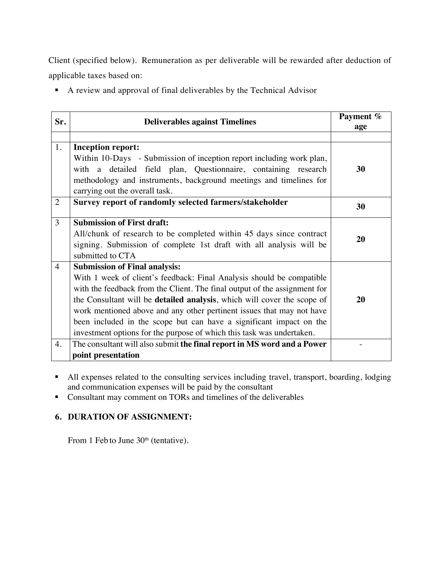Client (specified below). Remuneration as per deliverable will be rewarded after deduction of applicable taxes based on:

§ A review and approval of final deliverables by the Technical Advisor

| Sr.            | <b>Deliverables against Timelines</b>                                           | Payment %<br>age |
|----------------|---------------------------------------------------------------------------------|------------------|
|                |                                                                                 |                  |
| 1.             | <b>Inception report:</b>                                                        |                  |
|                | Within 10-Days - Submission of inception report including work plan,            |                  |
|                | with a detailed field plan, Questionnaire, containing research                  | 30               |
|                | methodology and instruments, background meetings and timelines for              |                  |
|                | carrying out the overall task.                                                  |                  |
| 2              | Survey report of randomly selected farmers/stakeholder                          | 30               |
| 3              | <b>Submission of First draft:</b>                                               |                  |
|                | All/chunk of research to be completed within 45 days since contract             |                  |
|                | signing. Submission of complete 1st draft with all analysis will be             | 20               |
|                | submitted to CTA                                                                |                  |
| $\overline{4}$ | <b>Submission of Final analysis:</b>                                            |                  |
|                | With 1 week of client's feedback: Final Analysis should be compatible           |                  |
|                | with the feedback from the Client. The final output of the assignment for       |                  |
|                | the Consultant will be <b>detailed analysis</b> , which will cover the scope of | 20               |
|                | work mentioned above and any other pertinent issues that may not have           |                  |
|                | been included in the scope but can have a significant impact on the             |                  |
|                | investment options for the purpose of which this task was undertaken.           |                  |
| 4.             | The consultant will also submit the final report in MS word and a Power         |                  |
|                | point presentation                                                              |                  |

- All expenses related to the consulting services including travel, transport, boarding, lodging and communication expenses will be paid by the consultant
- Consultant may comment on TORs and timelines of the deliverables

# **6. DURATION OF ASSIGNMENT:**

From 1 Feb to June 30<sup>th</sup> (tentative).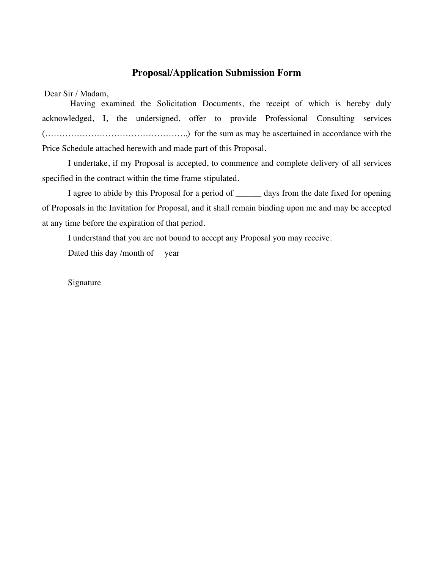# **Proposal/Application Submission Form**

Dear Sir / Madam,

Having examined the Solicitation Documents, the receipt of which is hereby duly acknowledged, I, the undersigned, offer to provide Professional Consulting services (…………………………………………..) for the sum as may be ascertained in accordance with the Price Schedule attached herewith and made part of this Proposal.

I undertake, if my Proposal is accepted, to commence and complete delivery of all services specified in the contract within the time frame stipulated.

I agree to abide by this Proposal for a period of \_\_\_\_\_\_ days from the date fixed for opening of Proposals in the Invitation for Proposal, and it shall remain binding upon me and may be accepted at any time before the expiration of that period.

I understand that you are not bound to accept any Proposal you may receive.

Dated this day /month of year

Signature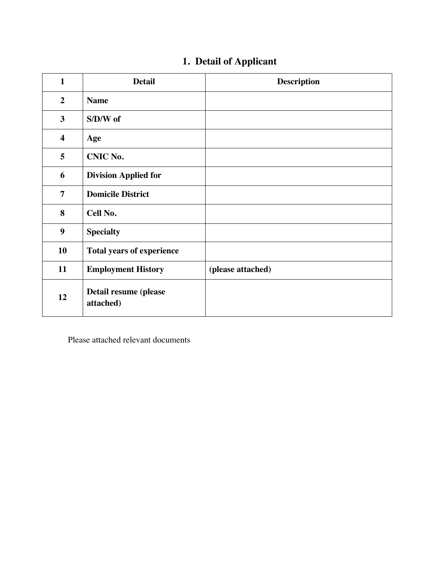| $\mathbf{1}$            | <b>Detail</b>                      | <b>Description</b> |
|-------------------------|------------------------------------|--------------------|
| $\overline{2}$          | <b>Name</b>                        |                    |
| $\mathbf{3}$            | $S/D/W$ of                         |                    |
| $\overline{\mathbf{4}}$ | Age                                |                    |
| 5                       | <b>CNIC No.</b>                    |                    |
| 6                       | <b>Division Applied for</b>        |                    |
| $\overline{7}$          | <b>Domicile District</b>           |                    |
| 8                       | Cell No.                           |                    |
| 9                       | <b>Specialty</b>                   |                    |
| 10                      | <b>Total years of experience</b>   |                    |
| 11                      | <b>Employment History</b>          | (please attached)  |
| 12                      | Detail resume (please<br>attached) |                    |

Please attached relevant documents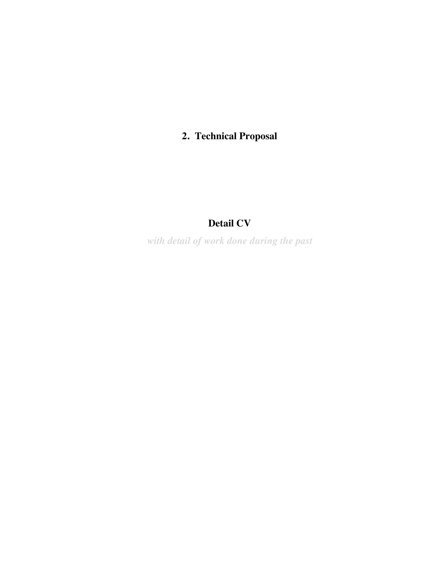# **2. Technical Proposal**

# **Detail CV**

*with detail of work done during the past*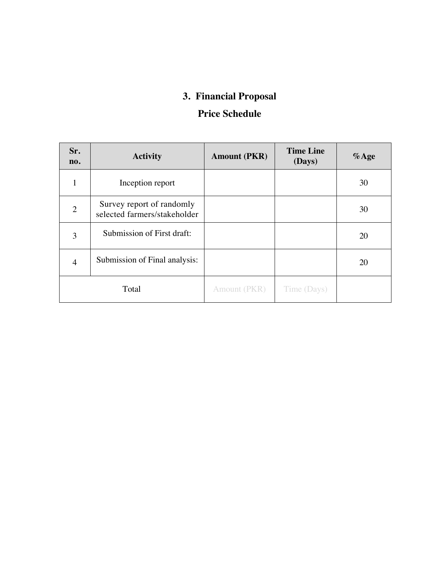# **3. Financial Proposal**

# **Price Schedule**

| Sr.<br>no.     | <b>Activity</b>                                           | <b>Amount (PKR)</b> | <b>Time Line</b><br>(Days) | $%$ Age |
|----------------|-----------------------------------------------------------|---------------------|----------------------------|---------|
| 1              | Inception report                                          |                     |                            | 30      |
| $\overline{2}$ | Survey report of randomly<br>selected farmers/stakeholder |                     |                            | 30      |
| 3              | Submission of First draft:                                |                     |                            | 20      |
| $\overline{4}$ | Submission of Final analysis:                             |                     |                            | 20      |
|                | Total                                                     | Amount (PKR)        | Time (Days)                |         |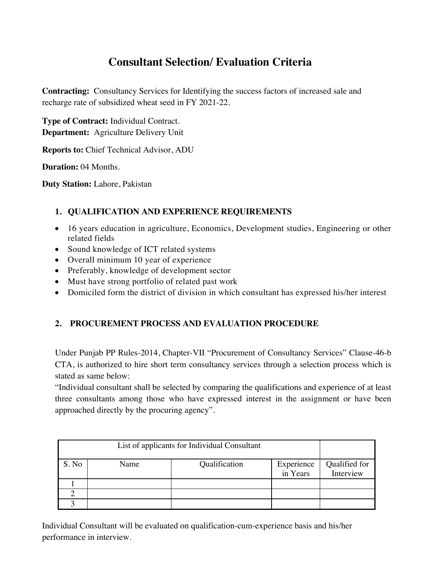# **Consultant Selection/ Evaluation Criteria**

**Contracting:** Consultancy Services for Identifying the success factors of increased sale and recharge rate of subsidized wheat seed in FY 2021-22.

**Type of Contract:** Individual Contract. **Department:** Agriculture Delivery Unit

**Reports to:** Chief Technical Advisor, ADU

**Duration:** 04 Months.

**Duty Station:** Lahore, Pakistan

# **1. QUALIFICATION AND EXPERIENCE REQUIREMENTS**

- 16 years education in agriculture, Economics, Development studies, Engineering or other related fields
- Sound knowledge of ICT related systems
- Overall minimum 10 year of experience
- Preferably, knowledge of development sector
- Must have strong portfolio of related past work
- Domiciled form the district of division in which consultant has expressed his/her interest

# **2. PROCUREMENT PROCESS AND EVALUATION PROCEDURE**

Under Punjab PP Rules-2014, Chapter-VII "Procurement of Consultancy Services" Clause-46-b CTA, is authorized to hire short term consultancy services through a selection process which is stated as same below:

"Individual consultant shall be selected by comparing the qualifications and experience of at least three consultants among those who have expressed interest in the assignment or have been approached directly by the procuring agency".

|       | List of applicants for Individual Consultant |               |                        |                            |
|-------|----------------------------------------------|---------------|------------------------|----------------------------|
| S. No | Name                                         | Qualification | Experience<br>in Years | Qualified for<br>Interview |
|       |                                              |               |                        |                            |
|       |                                              |               |                        |                            |
|       |                                              |               |                        |                            |

Individual Consultant will be evaluated on qualification-cum-experience basis and his/her performance in interview.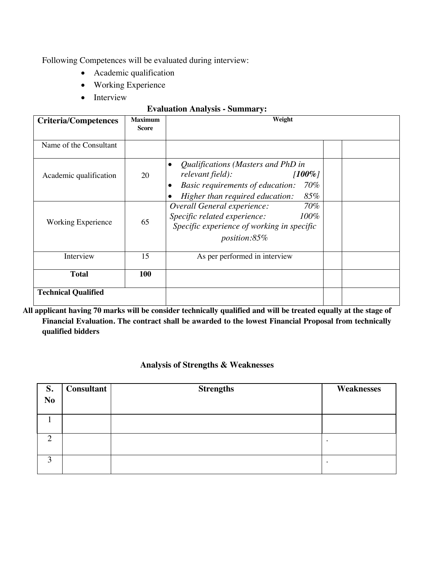Following Competences will be evaluated during interview:

- Academic qualification
- Working Experience
- Interview

### **Evaluation Analysis - Summary:**

| <b>Criteria/Competences</b> | <b>Maximum</b><br><b>Score</b> | Weight                                                                                                                                                                           |  |
|-----------------------------|--------------------------------|----------------------------------------------------------------------------------------------------------------------------------------------------------------------------------|--|
| Name of the Consultant      |                                |                                                                                                                                                                                  |  |
| Academic qualification      | 20                             | Qualifications (Masters and PhD in<br>$\bullet$<br>relevant field):<br>$100\%$<br>70%<br>Basic requirements of education:<br>$\bullet$<br>85%<br>Higher than required education: |  |
| Working Experience          | 65                             | Overall General experience:<br>70%<br>Specific related experience:<br>$100\%$<br>Specific experience of working in specific<br><i>position:85%</i>                               |  |
| Interview                   | 15                             | As per performed in interview                                                                                                                                                    |  |
| <b>Total</b>                | 100                            |                                                                                                                                                                                  |  |
| <b>Technical Qualified</b>  |                                |                                                                                                                                                                                  |  |

**All applicant having 70 marks will be consider technically qualified and will be treated equally at the stage of Financial Evaluation. The contract shall be awarded to the lowest Financial Proposal from technically qualified bidders**

## **Analysis of Strengths & Weaknesses**

| S.             | <b>Consultant</b> | <b>Strengths</b> | <b>Weaknesses</b> |
|----------------|-------------------|------------------|-------------------|
| N <sub>o</sub> |                   |                  |                   |
|                |                   |                  |                   |
|                |                   |                  |                   |
|                |                   |                  |                   |
| ◠              |                   |                  | ٠                 |
| 3              |                   |                  |                   |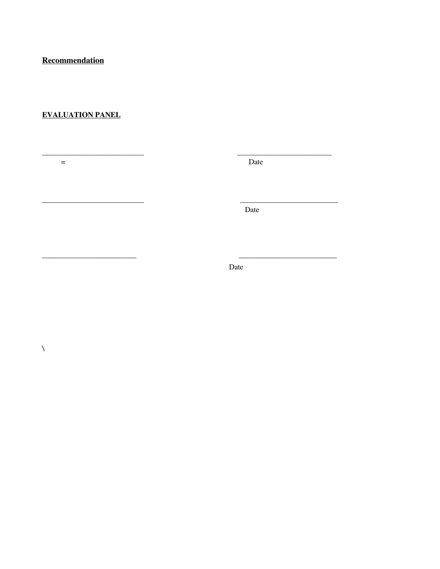Recommendation

# **EVALUATION PANEL**

 $\equiv$ 

 $\bar{\lambda}$ 

Date

Date

<u>. . . . . . . . . . . . . . . . . . .</u>

Date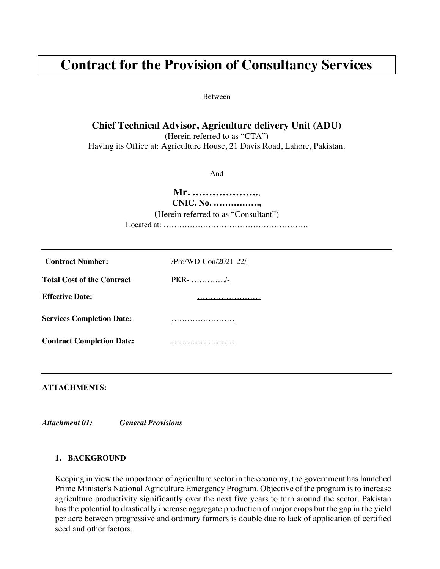# **Contract for the Provision of Consultancy Services**

Between

# **Chief Technical Advisor, Agriculture delivery Unit (ADU)**

(Herein referred to as "CTA") Having its Office at: Agriculture House, 21 Davis Road, Lahore, Pakistan.

And

**Mr. ………………..**, **CNIC. No. ……………., (**Herein referred to as "Consultant") Located at: ……………………………………………….

| <b>Contract Number:</b>           | /Pro/WD-Con/2021-22/ |
|-----------------------------------|----------------------|
| <b>Total Cost of the Contract</b> |                      |
| <b>Effective Date:</b>            |                      |
| <b>Services Completion Date:</b>  |                      |
| <b>Contract Completion Date:</b>  |                      |
|                                   |                      |

**ATTACHMENTS:**

*Attachment 01: General Provisions*

#### **1. BACKGROUND**

Keeping in view the importance of agriculture sector in the economy, the government has launched Prime Minister's National Agriculture Emergency Program. Objective of the program is to increase agriculture productivity significantly over the next five years to turn around the sector. Pakistan has the potential to drastically increase aggregate production of major crops but the gap in the yield per acre between progressive and ordinary farmers is double due to lack of application of certified seed and other factors.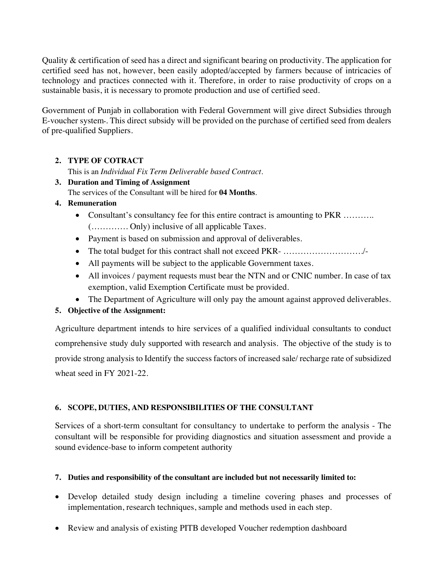Quality  $\&$  certification of seed has a direct and significant bearing on productivity. The application for certified seed has not, however, been easily adopted/accepted by farmers because of intricacies of technology and practices connected with it. Therefore, in order to raise productivity of crops on a sustainable basis, it is necessary to promote production and use of certified seed.

Government of Punjab in collaboration with Federal Government will give direct Subsidies through E-voucher system۔. This direct subsidy will be provided on the purchase of certified seed from dealers of pre-qualified Suppliers.

# **2. TYPE OF COTRACT**

This is an *Individual Fix Term Deliverable based Contract*.

# **3. Duration and Timing of Assignment**

The services of the Consultant will be hired for **04 Months**.

# **4. Remuneration**

- Consultant's consultancy fee for this entire contract is amounting to PKR .......... (…………. Only) inclusive of all applicable Taxes.
- Payment is based on submission and approval of deliverables.
- The total budget for this contract shall not exceed PKR- ………………………./-
- All payments will be subject to the applicable Government taxes.
- All invoices / payment requests must bear the NTN and or CNIC number. In case of tax exemption, valid Exemption Certificate must be provided.
- The Department of Agriculture will only pay the amount against approved deliverables.

# **5. Objective of the Assignment:**

Agriculture department intends to hire services of a qualified individual consultants to conduct comprehensive study duly supported with research and analysis. The objective of the study is to provide strong analysis to Identify the success factors of increased sale/ recharge rate of subsidized wheat seed in FY 2021-22.

# **6. SCOPE, DUTIES, AND RESPONSIBILITIES OF THE CONSULTANT**

Services of a short-term consultant for consultancy to undertake to perform the analysis - The consultant will be responsible for providing diagnostics and situation assessment and provide a sound evidence-base to inform competent authority

# **7. Duties and responsibility of the consultant are included but not necessarily limited to:**

- Develop detailed study design including a timeline covering phases and processes of implementation, research techniques, sample and methods used in each step.
- Review and analysis of existing PITB developed Voucher redemption dashboard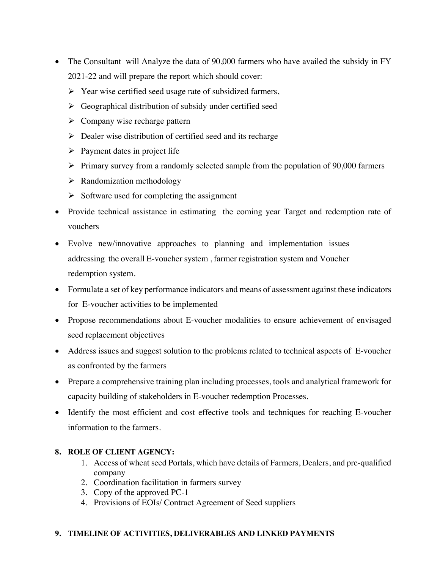- The Consultant will Analyze the data of 90,000 farmers who have availed the subsidy in FY 2021-22 and will prepare the report which should cover:
	- $\triangleright$  Year wise certified seed usage rate of subsidized farmers,
	- $\triangleright$  Geographical distribution of subsidy under certified seed
	- $\triangleright$  Company wise recharge pattern
	- $\triangleright$  Dealer wise distribution of certified seed and its recharge
	- $\triangleright$  Payment dates in project life
	- $\triangleright$  Primary survey from a randomly selected sample from the population of 90,000 farmers
	- $\triangleright$  Randomization methodology
	- $\triangleright$  Software used for completing the assignment
- Provide technical assistance in estimating the coming year Target and redemption rate of vouchers
- Evolve new/innovative approaches to planning and implementation issues addressing the overall E-voucher system , farmer registration system and Voucher redemption system.
- Formulate a set of key performance indicators and means of assessment against these indicators for E-voucher activities to be implemented
- Propose recommendations about E-voucher modalities to ensure achievement of envisaged seed replacement objectives
- Address issues and suggest solution to the problems related to technical aspects of E-voucher as confronted by the farmers
- Prepare a comprehensive training plan including processes, tools and analytical framework for capacity building of stakeholders in E-voucher redemption Processes.
- Identify the most efficient and cost effective tools and techniques for reaching E-voucher information to the farmers.

# **8. ROLE OF CLIENT AGENCY:**

- 1. Access of wheat seed Portals, which have details of Farmers, Dealers, and pre-qualified company
- 2. Coordination facilitation in farmers survey
- 3. Copy of the approved PC-1
- 4. Provisions of EOIs/ Contract Agreement of Seed suppliers

### **9. TIMELINE OF ACTIVITIES, DELIVERABLES AND LINKED PAYMENTS**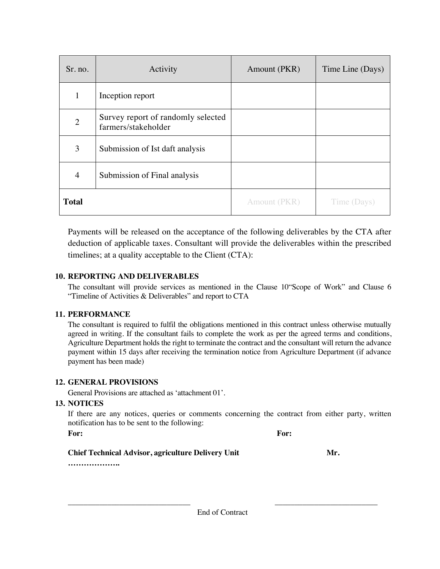| Sr. no.        | Activity                                                  | Amount (PKR) | Time Line (Days) |
|----------------|-----------------------------------------------------------|--------------|------------------|
| $\mathbf{1}$   | Inception report                                          |              |                  |
| $\overline{2}$ | Survey report of randomly selected<br>farmers/stakeholder |              |                  |
| 3              | Submission of Ist daft analysis                           |              |                  |
| $\overline{4}$ | Submission of Final analysis                              |              |                  |
| <b>Total</b>   |                                                           | Amount (PKR) | Time (Days)      |

Payments will be released on the acceptance of the following deliverables by the CTA after deduction of applicable taxes. Consultant will provide the deliverables within the prescribed timelines; at a quality acceptable to the Client (CTA):

### **10. REPORTING AND DELIVERABLES**

The consultant will provide services as mentioned in the Clause 10"Scope of Work" and Clause 6 "Timeline of Activities & Deliverables" and report to CTA

### **11. PERFORMANCE**

The consultant is required to fulfil the obligations mentioned in this contract unless otherwise mutually agreed in writing. If the consultant fails to complete the work as per the agreed terms and conditions, Agriculture Department holds the right to terminate the contract and the consultant will return the advance payment within 15 days after receiving the termination notice from Agriculture Department (if advance payment has been made)

### **12. GENERAL PROVISIONS**

General Provisions are attached as 'attachment 01'.

# **13. NOTICES**

If there are any notices, queries or comments concerning the contract from either party, written notification has to be sent to the following:

**For: For:**

# **Chief Technical Advisor, agriculture Delivery Unit Mr.**  Mr.

**………………..**

\_\_\_\_\_\_\_\_\_\_\_\_\_\_\_\_\_\_\_\_\_\_\_\_\_\_\_\_\_\_\_ \_\_\_\_\_\_\_\_\_\_\_\_\_\_\_\_\_\_\_\_\_\_\_\_\_\_ End of Contract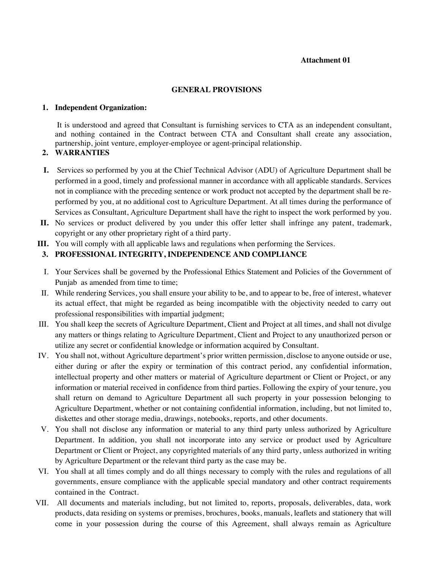#### **Attachment 01**

#### **GENERAL PROVISIONS**

#### **1. Independent Organization:**

It is understood and agreed that Consultant is furnishing services to CTA as an independent consultant, and nothing contained in the Contract between CTA and Consultant shall create any association, partnership, joint venture, employer-employee or agent-principal relationship.

#### **2. WARRANTIES**

- **I.** Services so performed by you at the Chief Technical Advisor (ADU) of Agriculture Department shall be performed in a good, timely and professional manner in accordance with all applicable standards. Services not in compliance with the preceding sentence or work product not accepted by the department shall be reperformed by you, at no additional cost to Agriculture Department. At all times during the performance of Services as Consultant, Agriculture Department shall have the right to inspect the work performed by you.
- **II.** No services or product delivered by you under this offer letter shall infringe any patent, trademark, copyright or any other proprietary right of a third party.
- **III.** You will comply with all applicable laws and regulations when performing the Services.

#### **3. PROFESSIONAL INTEGRITY, INDEPENDENCE AND COMPLIANCE**

- I. Your Services shall be governed by the Professional Ethics Statement and Policies of the Government of Punjab as amended from time to time;
- II. While rendering Services, you shall ensure your ability to be, and to appear to be, free of interest, whatever its actual effect, that might be regarded as being incompatible with the objectivity needed to carry out professional responsibilities with impartial judgment;
- III. You shall keep the secrets of Agriculture Department, Client and Project at all times, and shall not divulge any matters or things relating to Agriculture Department, Client and Project to any unauthorized person or utilize any secret or confidential knowledge or information acquired by Consultant.
- IV. You shall not, without Agriculture department's prior written permission, disclose to anyone outside or use, either during or after the expiry or termination of this contract period, any confidential information, intellectual property and other matters or material of Agriculture department or Client or Project, or any information or material received in confidence from third parties. Following the expiry of your tenure, you shall return on demand to Agriculture Department all such property in your possession belonging to Agriculture Department, whether or not containing confidential information, including, but not limited to, diskettes and other storage media, drawings, notebooks, reports, and other documents.
- V. You shall not disclose any information or material to any third party unless authorized by Agriculture Department. In addition, you shall not incorporate into any service or product used by Agriculture Department or Client or Project, any copyrighted materials of any third party, unless authorized in writing by Agriculture Department or the relevant third party as the case may be.
- VI. You shall at all times comply and do all things necessary to comply with the rules and regulations of all governments, ensure compliance with the applicable special mandatory and other contract requirements contained in the Contract.
- VII. All documents and materials including, but not limited to, reports, proposals, deliverables, data, work products, data residing on systems or premises, brochures, books, manuals, leaflets and stationery that will come in your possession during the course of this Agreement, shall always remain as Agriculture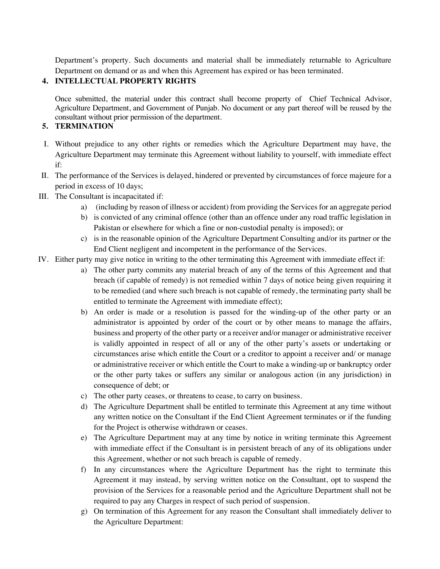Department's property. Such documents and material shall be immediately returnable to Agriculture Department on demand or as and when this Agreement has expired or has been terminated.

## **4. INTELLECTUAL PROPERTY RIGHTS**

Once submitted, the material under this contract shall become property of Chief Technical Advisor, Agriculture Department, and Government of Punjab. No document or any part thereof will be reused by the consultant without prior permission of the department.

## **5. TERMINATION**

- I. Without prejudice to any other rights or remedies which the Agriculture Department may have, the Agriculture Department may terminate this Agreement without liability to yourself, with immediate effect if:
- II. The performance of the Services is delayed, hindered or prevented by circumstances of force majeure for a period in excess of 10 days;
- III. The Consultant is incapacitated if:
	- a) (including by reason of illness or accident) from providing the Services for an aggregate period
	- b) is convicted of any criminal offence (other than an offence under any road traffic legislation in Pakistan or elsewhere for which a fine or non-custodial penalty is imposed); or
	- c) is in the reasonable opinion of the Agriculture Department Consulting and/or its partner or the End Client negligent and incompetent in the performance of the Services.
- IV. Either party may give notice in writing to the other terminating this Agreement with immediate effect if:
	- a) The other party commits any material breach of any of the terms of this Agreement and that breach (if capable of remedy) is not remedied within 7 days of notice being given requiring it to be remedied (and where such breach is not capable of remedy, the terminating party shall be entitled to terminate the Agreement with immediate effect);
	- b) An order is made or a resolution is passed for the winding-up of the other party or an administrator is appointed by order of the court or by other means to manage the affairs, business and property of the other party or a receiver and/or manager or administrative receiver is validly appointed in respect of all or any of the other party's assets or undertaking or circumstances arise which entitle the Court or a creditor to appoint a receiver and/ or manage or administrative receiver or which entitle the Court to make a winding-up or bankruptcy order or the other party takes or suffers any similar or analogous action (in any jurisdiction) in consequence of debt; or
	- c) The other party ceases, or threatens to cease, to carry on business.
	- d) The Agriculture Department shall be entitled to terminate this Agreement at any time without any written notice on the Consultant if the End Client Agreement terminates or if the funding for the Project is otherwise withdrawn or ceases.
	- e) The Agriculture Department may at any time by notice in writing terminate this Agreement with immediate effect if the Consultant is in persistent breach of any of its obligations under this Agreement, whether or not such breach is capable of remedy.
	- f) In any circumstances where the Agriculture Department has the right to terminate this Agreement it may instead, by serving written notice on the Consultant, opt to suspend the provision of the Services for a reasonable period and the Agriculture Department shall not be required to pay any Charges in respect of such period of suspension.
	- g) On termination of this Agreement for any reason the Consultant shall immediately deliver to the Agriculture Department: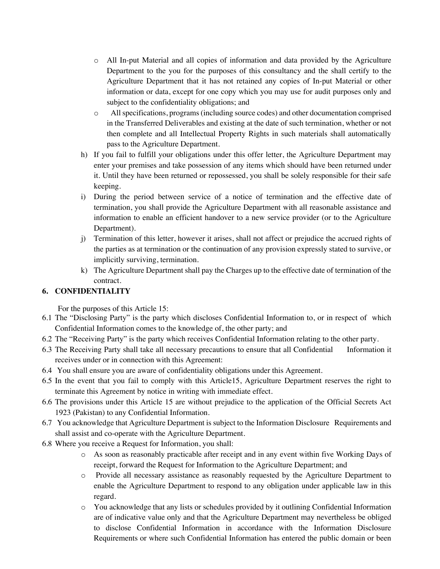- o All In-put Material and all copies of information and data provided by the Agriculture Department to the you for the purposes of this consultancy and the shall certify to the Agriculture Department that it has not retained any copies of In-put Material or other information or data, except for one copy which you may use for audit purposes only and subject to the confidentiality obligations; and
- o All specifications, programs (including source codes) and other documentation comprised in the Transferred Deliverables and existing at the date of such termination, whether or not then complete and all Intellectual Property Rights in such materials shall automatically pass to the Agriculture Department.
- h) If you fail to fulfill your obligations under this offer letter, the Agriculture Department may enter your premises and take possession of any items which should have been returned under it. Until they have been returned or repossessed, you shall be solely responsible for their safe keeping.
- i) During the period between service of a notice of termination and the effective date of termination, you shall provide the Agriculture Department with all reasonable assistance and information to enable an efficient handover to a new service provider (or to the Agriculture Department).
- j) Termination of this letter, however it arises, shall not affect or prejudice the accrued rights of the parties as at termination or the continuation of any provision expressly stated to survive, or implicitly surviving, termination.
- k) The Agriculture Department shall pay the Charges up to the effective date of termination of the contract.

# **6. CONFIDENTIALITY**

For the purposes of this Article 15:

- 6.1 The "Disclosing Party" is the party which discloses Confidential Information to, or in respect of which Confidential Information comes to the knowledge of, the other party; and
- 6.2 The "Receiving Party" is the party which receives Confidential Information relating to the other party.
- 6.3 The Receiving Party shall take all necessary precautions to ensure that all Confidential Information it receives under or in connection with this Agreement:
- 6.4 You shall ensure you are aware of confidentiality obligations under this Agreement.
- 6.5 In the event that you fail to comply with this Article15, Agriculture Department reserves the right to terminate this Agreement by notice in writing with immediate effect.
- 6.6 The provisions under this Article 15 are without prejudice to the application of the Official Secrets Act 1923 (Pakistan) to any Confidential Information.
- 6.7 You acknowledge that Agriculture Department is subject to the Information Disclosure Requirements and shall assist and co-operate with the Agriculture Department.
- 6.8 Where you receive a Request for Information, you shall:
	- o As soon as reasonably practicable after receipt and in any event within five Working Days of receipt, forward the Request for Information to the Agriculture Department; and
	- o Provide all necessary assistance as reasonably requested by the Agriculture Department to enable the Agriculture Department to respond to any obligation under applicable law in this regard.
	- o You acknowledge that any lists or schedules provided by it outlining Confidential Information are of indicative value only and that the Agriculture Department may nevertheless be obliged to disclose Confidential Information in accordance with the Information Disclosure Requirements or where such Confidential Information has entered the public domain or been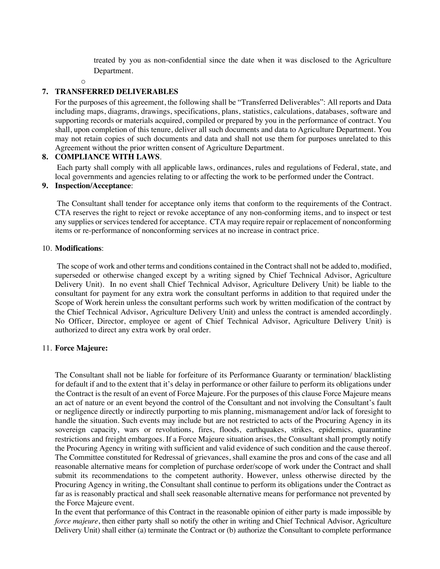treated by you as non-confidential since the date when it was disclosed to the Agriculture Department.

#### o

#### **7. TRANSFERRED DELIVERABLES**

For the purposes of this agreement, the following shall be "Transferred Deliverables": All reports and Data including maps, diagrams, drawings, specifications, plans, statistics, calculations, databases, software and supporting records or materials acquired, compiled or prepared by you in the performance of contract. You shall, upon completion of this tenure, deliver all such documents and data to Agriculture Department. You may not retain copies of such documents and data and shall not use them for purposes unrelated to this Agreement without the prior written consent of Agriculture Department.

#### **8. COMPLIANCE WITH LAWS**.

Each party shall comply with all applicable laws, ordinances, rules and regulations of Federal, state, and local governments and agencies relating to or affecting the work to be performed under the Contract.

#### **9. Inspection/Acceptance**:

The Consultant shall tender for acceptance only items that conform to the requirements of the Contract. CTA reserves the right to reject or revoke acceptance of any non-conforming items, and to inspect or test any supplies or services tendered for acceptance. CTA may require repair or replacement of nonconforming items or re-performance of nonconforming services at no increase in contract price.

#### 10. **Modifications**:

The scope of work and other terms and conditions contained in the Contract shall not be added to, modified, superseded or otherwise changed except by a writing signed by Chief Technical Advisor, Agriculture Delivery Unit). In no event shall Chief Technical Advisor, Agriculture Delivery Unit) be liable to the consultant for payment for any extra work the consultant performs in addition to that required under the Scope of Work herein unless the consultant performs such work by written modification of the contract by the Chief Technical Advisor, Agriculture Delivery Unit) and unless the contract is amended accordingly. No Officer, Director, employee or agent of Chief Technical Advisor, Agriculture Delivery Unit) is authorized to direct any extra work by oral order.

#### 11. **Force Majeure:**

The Consultant shall not be liable for forfeiture of its Performance Guaranty or termination/ blacklisting for default if and to the extent that it's delay in performance or other failure to perform its obligations under the Contract is the result of an event of Force Majeure. For the purposes of this clause Force Majeure means an act of nature or an event beyond the control of the Consultant and not involving the Consultant's fault or negligence directly or indirectly purporting to mis planning, mismanagement and/or lack of foresight to handle the situation. Such events may include but are not restricted to acts of the Procuring Agency in its sovereign capacity, wars or revolutions, fires, floods, earthquakes, strikes, epidemics, quarantine restrictions and freight embargoes. If a Force Majeure situation arises, the Consultant shall promptly notify the Procuring Agency in writing with sufficient and valid evidence of such condition and the cause thereof. The Committee constituted for Redressal of grievances, shall examine the pros and cons of the case and all reasonable alternative means for completion of purchase order/scope of work under the Contract and shall submit its recommendations to the competent authority. However, unless otherwise directed by the Procuring Agency in writing, the Consultant shall continue to perform its obligations under the Contract as far as is reasonably practical and shall seek reasonable alternative means for performance not prevented by the Force Majeure event.

In the event that performance of this Contract in the reasonable opinion of either party is made impossible by *force majeure*, then either party shall so notify the other in writing and Chief Technical Advisor, Agriculture Delivery Unit) shall either (a) terminate the Contract or (b) authorize the Consultant to complete performance